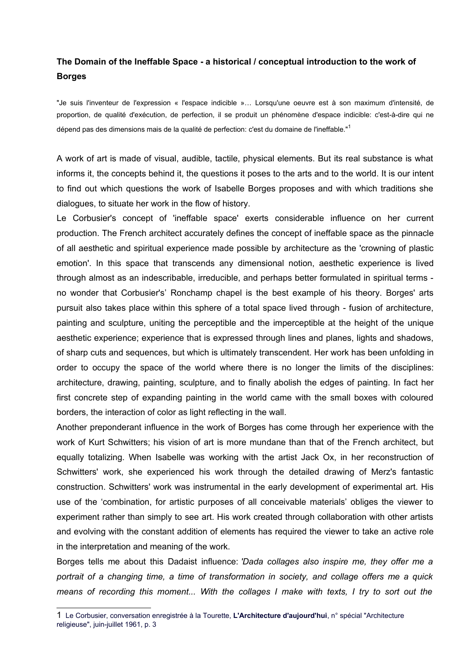## **The Domain of the Ineffable Space - a historical / conceptual introduction to the work of Borges**

"Je suis l'inventeur de l'expression « l'espace indicible »… Lorsqu'une oeuvre est à son maximum d'intensité, de proportion, de qualité d'exécution, de perfection, il se produit un phénomène d'espace indicible: c'est-à-dire qui ne dépend pas des dimensions mais de la qualité de perfection: c'est du domaine de l'ineffable."<sup>[1](#page-0-0)</sup>

A work of art is made of visual, audible, tactile, physical elements. But its real substance is what informs it, the concepts behind it, the questions it poses to the arts and to the world. It is our intent to find out which questions the work of Isabelle Borges proposes and with which traditions she dialogues, to situate her work in the flow of history.

Le Corbusier's concept of 'ineffable space' exerts considerable influence on her current production. The French architect accurately defines the concept of ineffable space as the pinnacle of all aesthetic and spiritual experience made possible by architecture as the 'crowning of plastic emotion'. In this space that transcends any dimensional notion, aesthetic experience is lived through almost as an indescribable, irreducible, and perhaps better formulated in spiritual terms no wonder that Corbusier's' Ronchamp chapel is the best example of his theory. Borges' arts pursuit also takes place within this sphere of a total space lived through - fusion of architecture, painting and sculpture, uniting the perceptible and the imperceptible at the height of the unique aesthetic experience; experience that is expressed through lines and planes, lights and shadows, of sharp cuts and sequences, but which is ultimately transcendent. Her work has been unfolding in order to occupy the space of the world where there is no longer the limits of the disciplines: architecture, drawing, painting, sculpture, and to finally abolish the edges of painting. In fact her first concrete step of expanding painting in the world came with the small boxes with coloured borders, the interaction of color as light reflecting in the wall.

Another preponderant influence in the work of Borges has come through her experience with the work of Kurt Schwitters; his vision of art is more mundane than that of the French architect, but equally totalizing. When Isabelle was working with the artist Jack Ox, in her reconstruction of Schwitters' work, she experienced his work through the detailed drawing of Merz's fantastic construction. Schwitters' work was instrumental in the early development of experimental art. His use of the 'combination, for artistic purposes of all conceivable materials' obliges the viewer to experiment rather than simply to see art. His work created through collaboration with other artists and evolving with the constant addition of elements has required the viewer to take an active role in the interpretation and meaning of the work.

Borges tells me about this Dadaist influence: *'Dada collages also inspire me, they offer me a portrait of a changing time, a time of transformation in society, and collage offers me a quick means of recording this moment... With the collages I make with texts, I try to sort out the*

<span id="page-0-0"></span><sup>1</sup> - Le Corbusier, conversation enregistrée à la Tourette, **L'Architecture d'aujourd'hui**, n° spécial "Architecture religieuse", juin-juillet 1961, p. 3